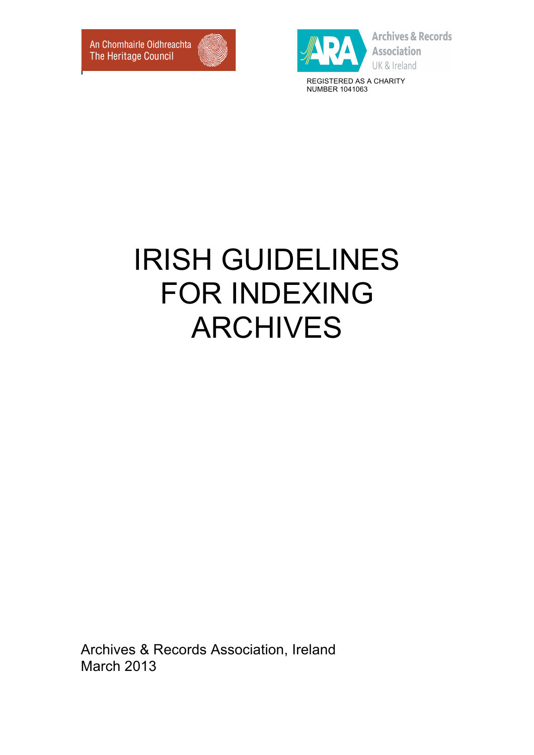

**Archives & Records Association** 

NUMBER 1041063

# IRISH GUIDELINES FOR INDEXING ARCHIVES

Archives & Records Association, Ireland March 2013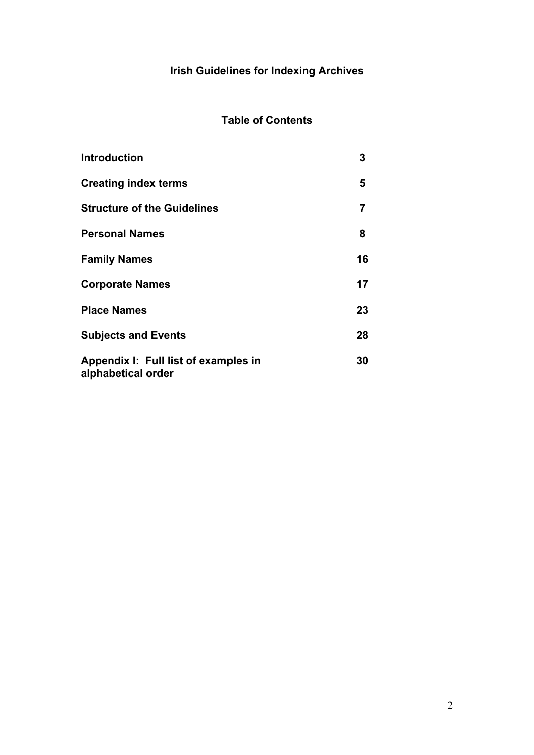# **Irish Guidelines for Indexing Archives**

## **Table of Contents**

| <b>Introduction</b>                                        | 3  |
|------------------------------------------------------------|----|
| <b>Creating index terms</b>                                | 5  |
| <b>Structure of the Guidelines</b>                         | 7  |
| <b>Personal Names</b>                                      | 8  |
| <b>Family Names</b>                                        | 16 |
| <b>Corporate Names</b>                                     | 17 |
| <b>Place Names</b>                                         | 23 |
| <b>Subjects and Events</b>                                 | 28 |
| Appendix I: Full list of examples in<br>alphabetical order | 30 |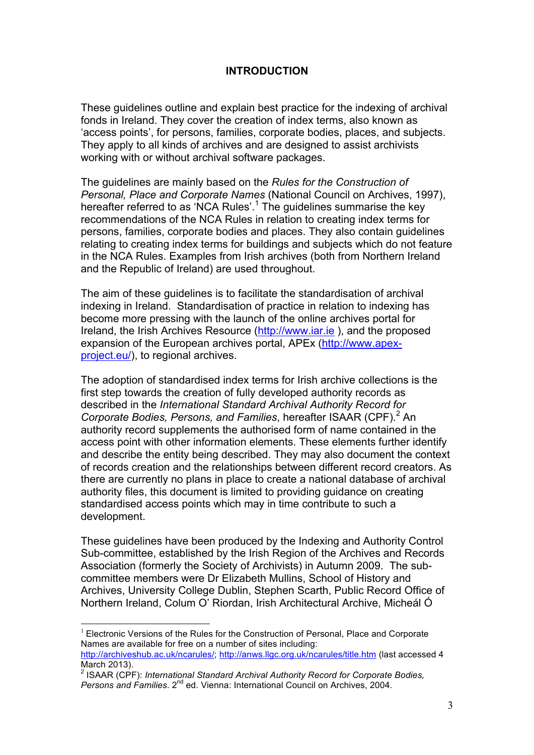## **INTRODUCTION**

These guidelines outline and explain best practice for the indexing of archival fonds in Ireland. They cover the creation of index terms, also known as 'access points', for persons, families, corporate bodies, places, and subjects. They apply to all kinds of archives and are designed to assist archivists working with or without archival software packages.

The guidelines are mainly based on the *Rules for the Construction of Personal, Place and Corporate Names* (National Council on Archives, 1997), hereafter referred to as 'NCA Rules'.<sup>1</sup> The guidelines summarise the key recommendations of the NCA Rules in relation to creating index terms for persons, families, corporate bodies and places. They also contain guidelines relating to creating index terms for buildings and subjects which do not feature in the NCA Rules. Examples from Irish archives (both from Northern Ireland and the Republic of Ireland) are used throughout.

The aim of these guidelines is to facilitate the standardisation of archival indexing in Ireland. Standardisation of practice in relation to indexing has become more pressing with the launch of the online archives portal for Ireland, the Irish Archives Resource (http://www.iar.ie ), and the proposed expansion of the European archives portal, APEx (http://www.apexproject.eu/), to regional archives.

The adoption of standardised index terms for Irish archive collections is the first step towards the creation of fully developed authority records as described in the *International Standard Archival Authority Record for Corporate Bodies, Persons, and Families*, hereafter ISAAR (CPF). <sup>2</sup> An authority record supplements the authorised form of name contained in the access point with other information elements. These elements further identify and describe the entity being described. They may also document the context of records creation and the relationships between different record creators. As there are currently no plans in place to create a national database of archival authority files, this document is limited to providing guidance on creating standardised access points which may in time contribute to such a development.

These guidelines have been produced by the Indexing and Authority Control Sub-committee, established by the Irish Region of the Archives and Records Association (formerly the Society of Archivists) in Autumn 2009. The subcommittee members were Dr Elizabeth Mullins, School of History and Archives, University College Dublin, Stephen Scarth, Public Record Office of Northern Ireland, Colum O' Riordan, Irish Architectural Archive, Micheál Ó

 <sup>1</sup> Electronic Versions of the Rules for the Construction of Personal, Place and Corporate Names are available for free on a number of sites including: http://archiveshub.ac.uk/ncarules/; http://anws.llgc.org.uk/ncarules/title.htm (last accessed 4

March 2013).<br><sup>2</sup> ISAAR (CPF): *International Standard Archival Authority Record for Corporate Bodies, Persons and Families*. 2nd ed. Vienna: International Council on Archives, 2004.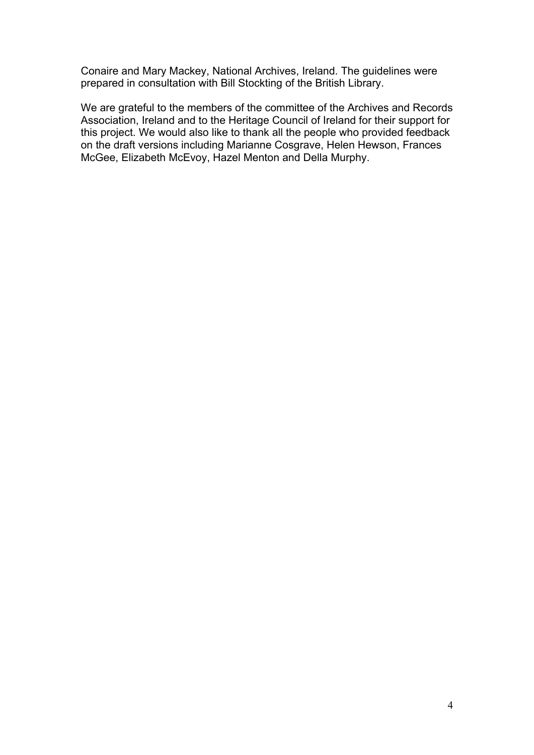Conaire and Mary Mackey, National Archives, Ireland. The guidelines were prepared in consultation with Bill Stockting of the British Library.

We are grateful to the members of the committee of the Archives and Records Association, Ireland and to the Heritage Council of Ireland for their support for this project. We would also like to thank all the people who provided feedback on the draft versions including Marianne Cosgrave, Helen Hewson, Frances McGee, Elizabeth McEvoy, Hazel Menton and Della Murphy.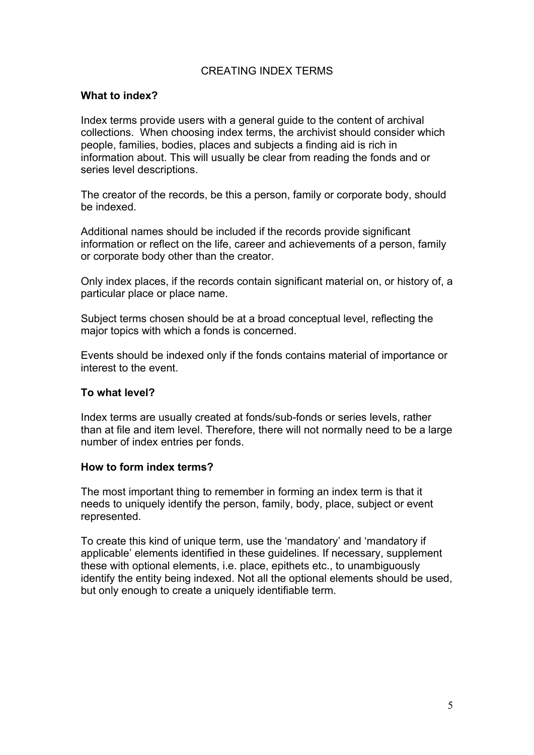## CREATING INDEX TERMS

#### **What to index?**

Index terms provide users with a general guide to the content of archival collections. When choosing index terms, the archivist should consider which people, families, bodies, places and subjects a finding aid is rich in information about. This will usually be clear from reading the fonds and or series level descriptions.

The creator of the records, be this a person, family or corporate body, should be indexed.

Additional names should be included if the records provide significant information or reflect on the life, career and achievements of a person, family or corporate body other than the creator.

Only index places, if the records contain significant material on, or history of, a particular place or place name.

Subject terms chosen should be at a broad conceptual level, reflecting the major topics with which a fonds is concerned.

Events should be indexed only if the fonds contains material of importance or interest to the event.

## **To what level?**

Index terms are usually created at fonds/sub-fonds or series levels, rather than at file and item level. Therefore, there will not normally need to be a large number of index entries per fonds.

## **How to form index terms?**

The most important thing to remember in forming an index term is that it needs to uniquely identify the person, family, body, place, subject or event represented.

To create this kind of unique term, use the 'mandatory' and 'mandatory if applicable' elements identified in these guidelines. If necessary, supplement these with optional elements, i.e. place, epithets etc., to unambiguously identify the entity being indexed. Not all the optional elements should be used, but only enough to create a uniquely identifiable term.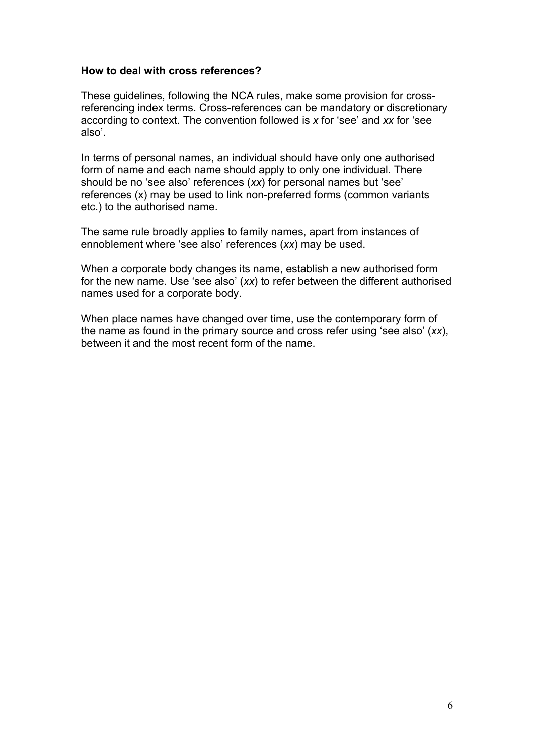## **How to deal with cross references?**

These guidelines, following the NCA rules, make some provision for crossreferencing index terms. Cross-references can be mandatory or discretionary according to context. The convention followed is *x* for 'see' and *xx* for 'see also'.

In terms of personal names, an individual should have only one authorised form of name and each name should apply to only one individual. There should be no 'see also' references (*xx*) for personal names but 'see' references (x) may be used to link non-preferred forms (common variants etc.) to the authorised name.

The same rule broadly applies to family names, apart from instances of ennoblement where 'see also' references (*xx*) may be used.

When a corporate body changes its name, establish a new authorised form for the new name. Use 'see also' (*xx*) to refer between the different authorised names used for a corporate body.

When place names have changed over time, use the contemporary form of the name as found in the primary source and cross refer using 'see also' (*xx*), between it and the most recent form of the name.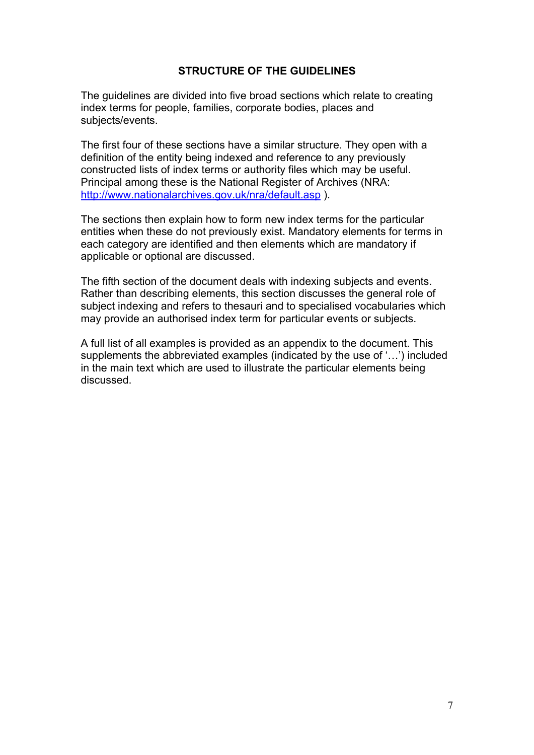## **STRUCTURE OF THE GUIDELINES**

The guidelines are divided into five broad sections which relate to creating index terms for people, families, corporate bodies, places and subjects/events.

The first four of these sections have a similar structure. They open with a definition of the entity being indexed and reference to any previously constructed lists of index terms or authority files which may be useful. Principal among these is the National Register of Archives (NRA: http://www.nationalarchives.gov.uk/nra/default.asp ).

The sections then explain how to form new index terms for the particular entities when these do not previously exist. Mandatory elements for terms in each category are identified and then elements which are mandatory if applicable or optional are discussed.

The fifth section of the document deals with indexing subjects and events. Rather than describing elements, this section discusses the general role of subject indexing and refers to thesauri and to specialised vocabularies which may provide an authorised index term for particular events or subjects.

A full list of all examples is provided as an appendix to the document. This supplements the abbreviated examples (indicated by the use of '…') included in the main text which are used to illustrate the particular elements being discussed.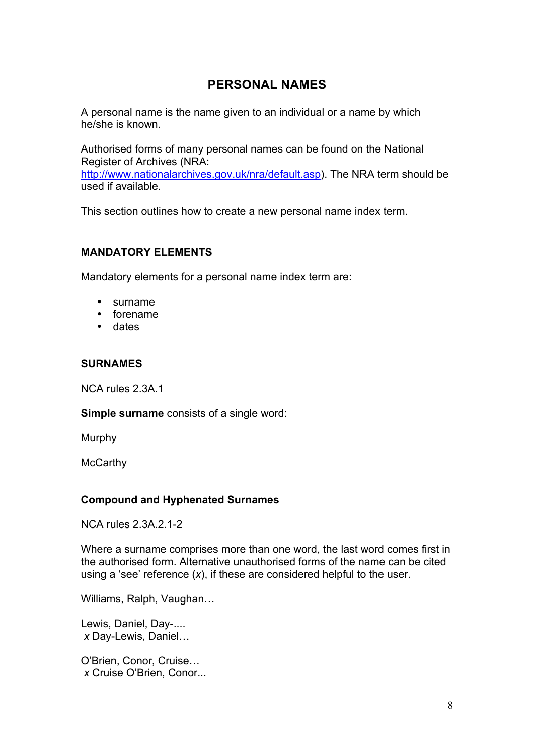# **PERSONAL NAMES**

A personal name is the name given to an individual or a name by which he/she is known.

Authorised forms of many personal names can be found on the National Register of Archives (NRA: http://www.nationalarchives.gov.uk/nra/default.asp). The NRA term should be used if available.

This section outlines how to create a new personal name index term.

## **MANDATORY ELEMENTS**

Mandatory elements for a personal name index term are:

- surname
- forename
- dates

#### **SURNAMES**

NCA rules 2.3A.1

**Simple surname** consists of a single word:

Murphy

**McCarthy** 

## **Compound and Hyphenated Surnames**

NCA rules 2.3A.2.1-2

Where a surname comprises more than one word, the last word comes first in the authorised form. Alternative unauthorised forms of the name can be cited using a 'see' reference (*x*), if these are considered helpful to the user.

Williams, Ralph, Vaughan…

Lewis, Daniel, Day-....  *x* Day-Lewis, Daniel…

O'Brien, Conor, Cruise…  *x* Cruise O'Brien, Conor...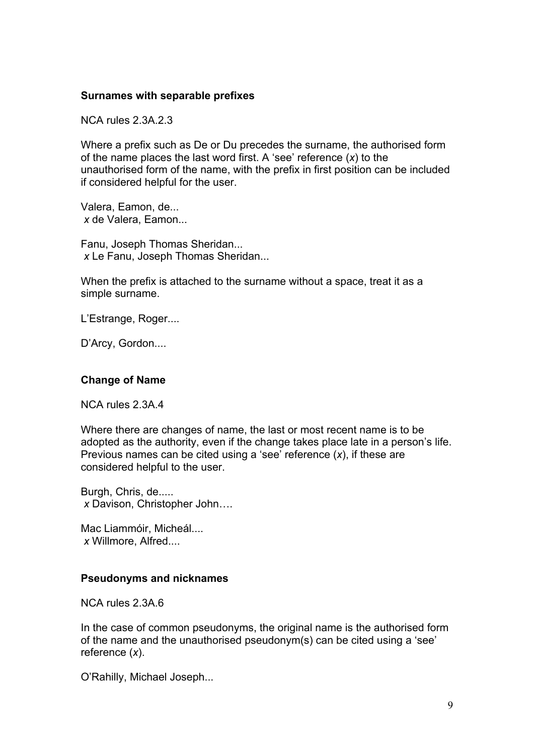#### **Surnames with separable prefixes**

NCA rules 2.3A.2.3

Where a prefix such as De or Du precedes the surname, the authorised form of the name places the last word first. A 'see' reference (*x*) to the unauthorised form of the name, with the prefix in first position can be included if considered helpful for the user.

Valera, Eamon, de...  *x* de Valera, Eamon...

Fanu, Joseph Thomas Sheridan...  *x* Le Fanu, Joseph Thomas Sheridan...

When the prefix is attached to the surname without a space, treat it as a simple surname.

L'Estrange, Roger....

D'Arcy, Gordon....

## **Change of Name**

NCA rules 2.3A.4

Where there are changes of name, the last or most recent name is to be adopted as the authority, even if the change takes place late in a person's life. Previous names can be cited using a 'see' reference (*x*), if these are considered helpful to the user.

Burgh, Chris, de..... *x* Davison, Christopher John….

Mac Liammóir, Micheál.... *x* Willmore, Alfred....

## **Pseudonyms and nicknames**

NCA rules 2.3A.6

In the case of common pseudonyms, the original name is the authorised form of the name and the unauthorised pseudonym(s) can be cited using a 'see' reference (*x*).

O'Rahilly, Michael Joseph...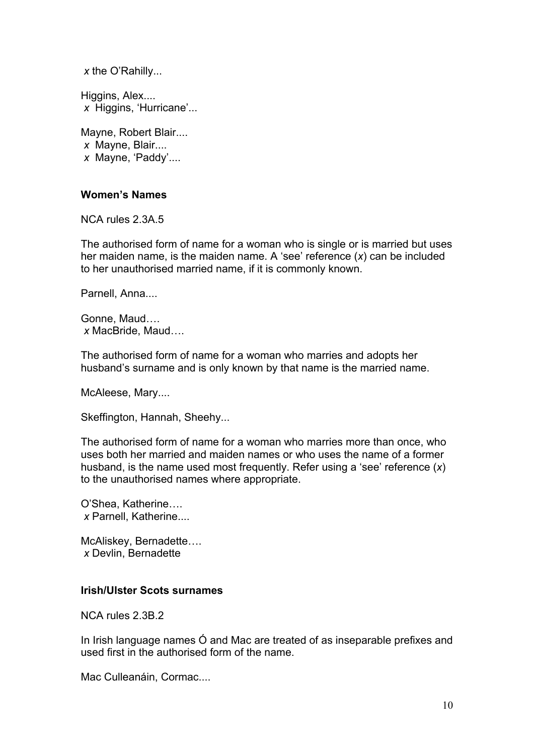*x* the O'Rahilly...

Higgins, Alex....  *x* Higgins, 'Hurricane'...

Mayne, Robert Blair....  *x* Mayne, Blair....  *x* Mayne, 'Paddy'....

#### **Women's Names**

NCA rules 2.3A.5

The authorised form of name for a woman who is single or is married but uses her maiden name, is the maiden name. A 'see' reference (*x*) can be included to her unauthorised married name, if it is commonly known.

Parnell, Anna....

Gonne, Maud….  *x* MacBride, Maud….

The authorised form of name for a woman who marries and adopts her husband's surname and is only known by that name is the married name.

McAleese, Mary....

Skeffington, Hannah, Sheehy...

The authorised form of name for a woman who marries more than once, who uses both her married and maiden names or who uses the name of a former husband, is the name used most frequently. Refer using a 'see' reference (*x*) to the unauthorised names where appropriate.

O'Shea, Katherine…. *x* Parnell, Katherine....

McAliskey, Bernadette…. *x* Devlin, Bernadette

#### **Irish/Ulster Scots surnames**

NCA rules 2.3B.2

In Irish language names Ó and Mac are treated of as inseparable prefixes and used first in the authorised form of the name.

Mac Culleanáin, Cormac....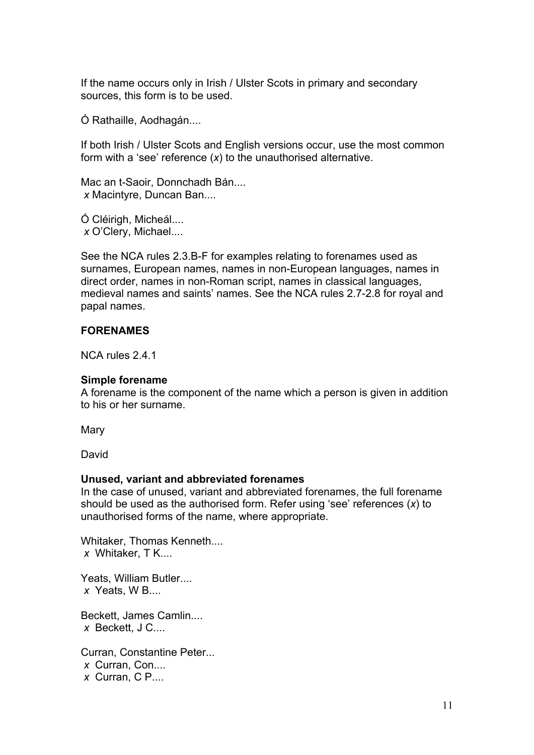If the name occurs only in Irish / Ulster Scots in primary and secondary sources, this form is to be used.

Ó Rathaille, Aodhagán....

If both Irish / Ulster Scots and English versions occur, use the most common form with a 'see' reference (*x*) to the unauthorised alternative.

Mac an t-Saoir, Donnchadh Bán.... *x* Macintyre, Duncan Ban....

Ó Cléirigh, Micheál.... *x* O'Clery, Michael....

See the NCA rules 2.3.B-F for examples relating to forenames used as surnames, European names, names in non-European languages, names in direct order, names in non-Roman script, names in classical languages, medieval names and saints' names. See the NCA rules 2.7-2.8 for royal and papal names.

## **FORENAMES**

NCA rules 2.4.1

#### **Simple forename**

A forename is the component of the name which a person is given in addition to his or her surname.

**Mary** 

David

#### **Unused, variant and abbreviated forenames**

In the case of unused, variant and abbreviated forenames, the full forename should be used as the authorised form. Refer using 'see' references (*x*) to unauthorised forms of the name, where appropriate.

Whitaker, Thomas Kenneth....  *x* Whitaker, T K....

Yeats, William Butler....  *x* Yeats, W B....

Beckett, James Camlin....  *x* Beckett, J C....

Curran, Constantine Peter...  *x* Curran, Con....  *x* Curran, C P....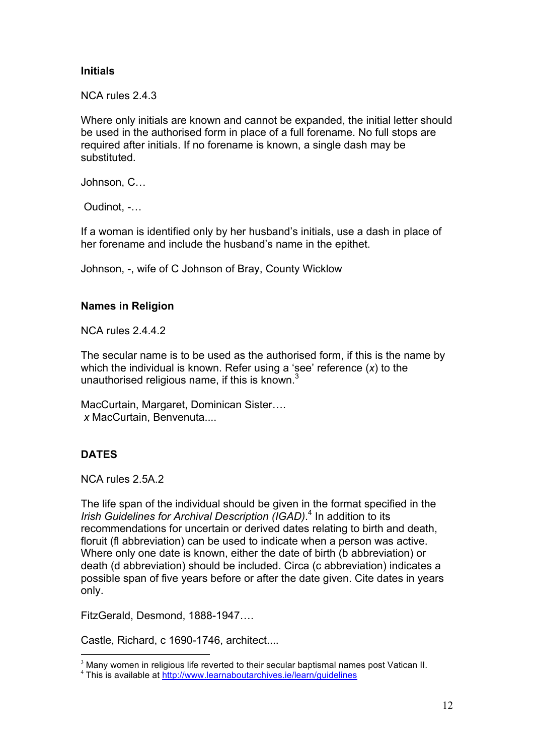## **Initials**

NCA rules 2.4.3

Where only initials are known and cannot be expanded, the initial letter should be used in the authorised form in place of a full forename. No full stops are required after initials. If no forename is known, a single dash may be substituted.

Johnson, C…

Oudinot, -…

If a woman is identified only by her husband's initials, use a dash in place of her forename and include the husband's name in the epithet.

Johnson, -, wife of C Johnson of Bray, County Wicklow

## **Names in Religion**

NCA rules 2442

The secular name is to be used as the authorised form, if this is the name by which the individual is known. Refer using a 'see' reference (*x*) to the unauthorised religious name, if this is known. $3$ 

MacCurtain, Margaret, Dominican Sister….  *x* MacCurtain, Benvenuta....

## **DATES**

NCA rules 2.5A.2

The life span of the individual should be given in the format specified in the *Irish Guidelines for Archival Description (IGAD)*. 4 In addition to its recommendations for uncertain or derived dates relating to birth and death, floruit (fl abbreviation) can be used to indicate when a person was active. Where only one date is known, either the date of birth (b abbreviation) or death (d abbreviation) should be included. Circa (c abbreviation) indicates a possible span of five years before or after the date given. Cite dates in years only.

FitzGerald, Desmond, 1888-1947….

Castle, Richard, c 1690-1746, architect....

<sup>&</sup>lt;sup>3</sup> Many women in religious life reverted to their secular baptismal names post Vatican II.  $4$  This is available at http://www.learnaboutarchives.ie/learn/guidelines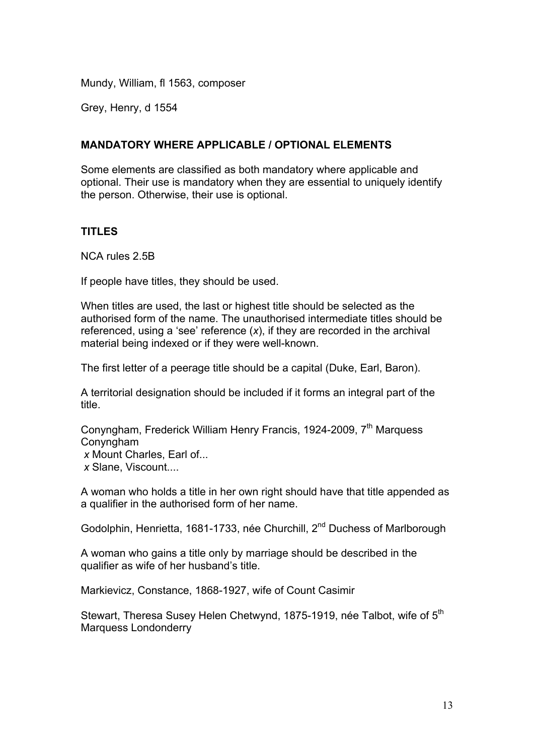Mundy, William, fl 1563, composer

Grey, Henry, d 1554

## **MANDATORY WHERE APPLICABLE / OPTIONAL ELEMENTS**

Some elements are classified as both mandatory where applicable and optional. Their use is mandatory when they are essential to uniquely identify the person. Otherwise, their use is optional.

## **TITLES**

NCA rules 2.5B

If people have titles, they should be used.

When titles are used, the last or highest title should be selected as the authorised form of the name. The unauthorised intermediate titles should be referenced, using a 'see' reference (*x*), if they are recorded in the archival material being indexed or if they were well-known.

The first letter of a peerage title should be a capital (Duke, Earl, Baron).

A territorial designation should be included if it forms an integral part of the title.

Conyngham, Frederick William Henry Francis, 1924-2009, 7<sup>th</sup> Marquess Conyngham

*x* Mount Charles, Earl of...

*x* Slane, Viscount....

A woman who holds a title in her own right should have that title appended as a qualifier in the authorised form of her name.

Godolphin, Henrietta, 1681-1733, née Churchill, 2<sup>nd</sup> Duchess of Marlborough

A woman who gains a title only by marriage should be described in the qualifier as wife of her husband's title.

Markievicz, Constance, 1868-1927, wife of Count Casimir

Stewart, Theresa Susey Helen Chetwynd, 1875-1919, née Talbot, wife of 5<sup>th</sup> Marquess Londonderry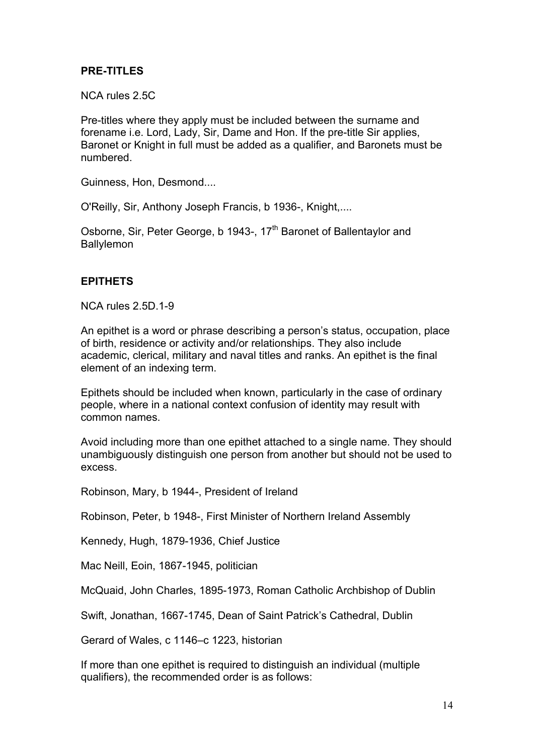## **PRE-TITLES**

NCA rules 2.5C

Pre-titles where they apply must be included between the surname and forename i.e. Lord, Lady, Sir, Dame and Hon. If the pre-title Sir applies, Baronet or Knight in full must be added as a qualifier, and Baronets must be numbered.

Guinness, Hon, Desmond....

O'Reilly, Sir, Anthony Joseph Francis, b 1936-, Knight,....

Osborne, Sir, Peter George, b 1943-, 17<sup>th</sup> Baronet of Ballentaylor and Ballylemon

## **EPITHETS**

NCA rules 2.5D.1-9

An epithet is a word or phrase describing a person's status, occupation, place of birth, residence or activity and/or relationships. They also include academic, clerical, military and naval titles and ranks. An epithet is the final element of an indexing term.

Epithets should be included when known, particularly in the case of ordinary people, where in a national context confusion of identity may result with common names.

Avoid including more than one epithet attached to a single name. They should unambiguously distinguish one person from another but should not be used to excess.

Robinson, Mary, b 1944-, President of Ireland

Robinson, Peter, b 1948-, First Minister of Northern Ireland Assembly

Kennedy, Hugh, 1879-1936, Chief Justice

Mac Neill, Eoin, 1867-1945, politician

McQuaid, John Charles, 1895-1973, Roman Catholic Archbishop of Dublin

Swift, Jonathan, 1667-1745, Dean of Saint Patrick's Cathedral, Dublin

Gerard of Wales, c 1146–c 1223, historian

If more than one epithet is required to distinguish an individual (multiple qualifiers), the recommended order is as follows: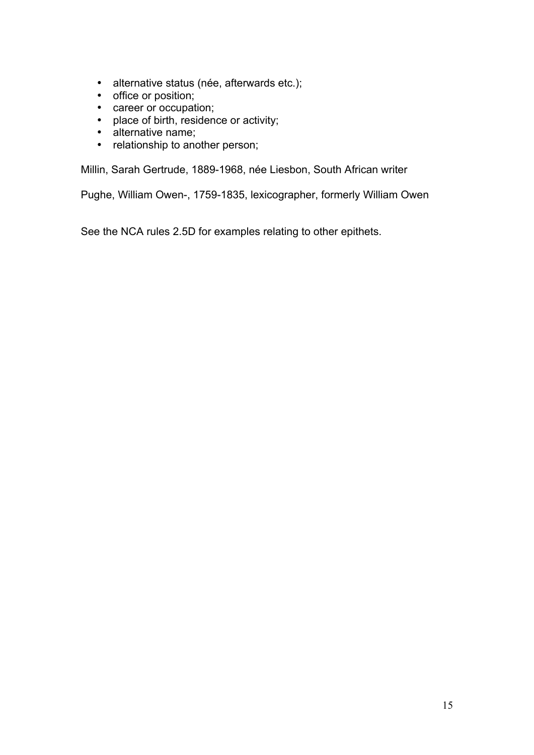- alternative status (née, afterwards etc.);
- office or position;
- career or occupation;
- place of birth, residence or activity;
- alternative name;<br>• relationship to and
- relationship to another person;

Millin, Sarah Gertrude, 1889-1968, née Liesbon, South African writer

Pughe, William Owen-, 1759-1835, lexicographer, formerly William Owen

See the NCA rules 2.5D for examples relating to other epithets.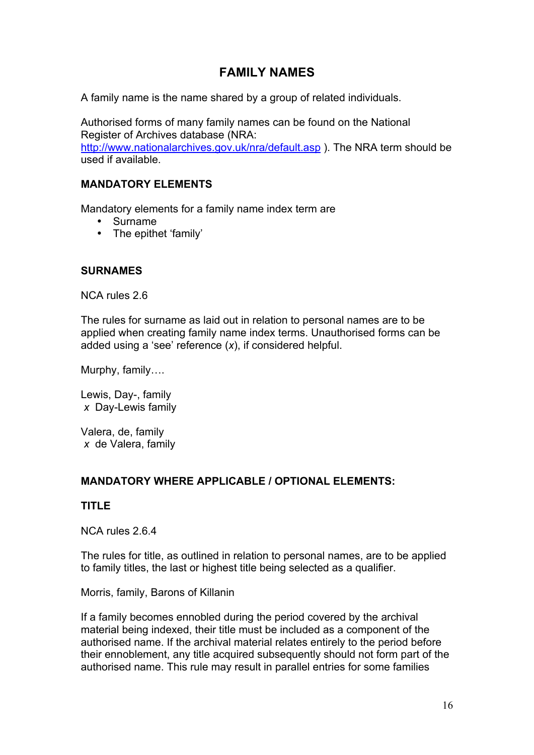# **FAMILY NAMES**

A family name is the name shared by a group of related individuals.

Authorised forms of many family names can be found on the National Register of Archives database (NRA: http://www.nationalarchives.gov.uk/nra/default.asp ). The NRA term should be used if available.

## **MANDATORY ELEMENTS**

Mandatory elements for a family name index term are

- Surname
- The epithet 'family'

## **SURNAMES**

NCA rules 2.6

The rules for surname as laid out in relation to personal names are to be applied when creating family name index terms. Unauthorised forms can be added using a 'see' reference (*x*), if considered helpful.

Murphy, family….

Lewis, Day-, family  *x* Day-Lewis family

Valera, de, family  *x* de Valera, family

## **MANDATORY WHERE APPLICABLE / OPTIONAL ELEMENTS:**

## **TITLE**

NCA rules 2.6.4

The rules for title, as outlined in relation to personal names, are to be applied to family titles, the last or highest title being selected as a qualifier.

Morris, family, Barons of Killanin

If a family becomes ennobled during the period covered by the archival material being indexed, their title must be included as a component of the authorised name. If the archival material relates entirely to the period before their ennoblement, any title acquired subsequently should not form part of the authorised name. This rule may result in parallel entries for some families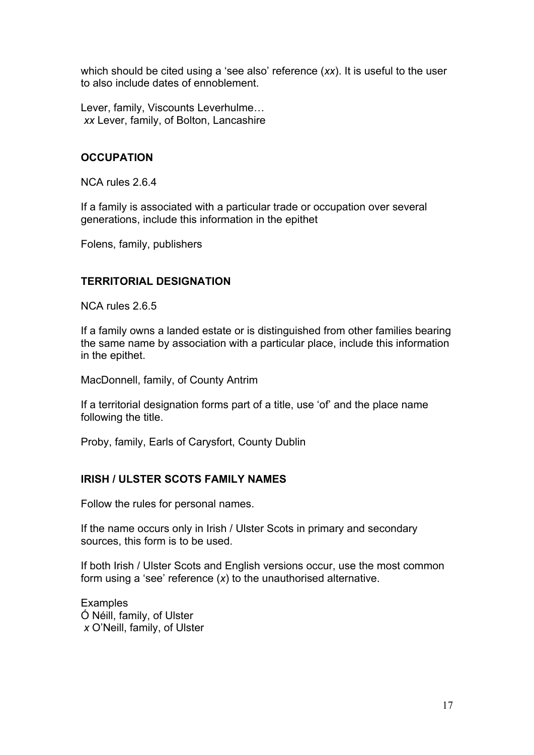which should be cited using a 'see also' reference (*xx*). It is useful to the user to also include dates of ennoblement.

Lever, family, Viscounts Leverhulme…  *xx* Lever, family, of Bolton, Lancashire

## **OCCUPATION**

NCA rules 2.6.4

If a family is associated with a particular trade or occupation over several generations, include this information in the epithet

Folens, family, publishers

## **TERRITORIAL DESIGNATION**

NCA rules 2.6.5

If a family owns a landed estate or is distinguished from other families bearing the same name by association with a particular place, include this information in the epithet.

MacDonnell, family, of County Antrim

If a territorial designation forms part of a title, use 'of' and the place name following the title.

Proby, family, Earls of Carysfort, County Dublin

## **IRISH / ULSTER SCOTS FAMILY NAMES**

Follow the rules for personal names.

If the name occurs only in Irish / Ulster Scots in primary and secondary sources, this form is to be used.

If both Irish / Ulster Scots and English versions occur, use the most common form using a 'see' reference (*x*) to the unauthorised alternative.

**Examples** Ó Néill, family, of Ulster *x* O'Neill, family, of Ulster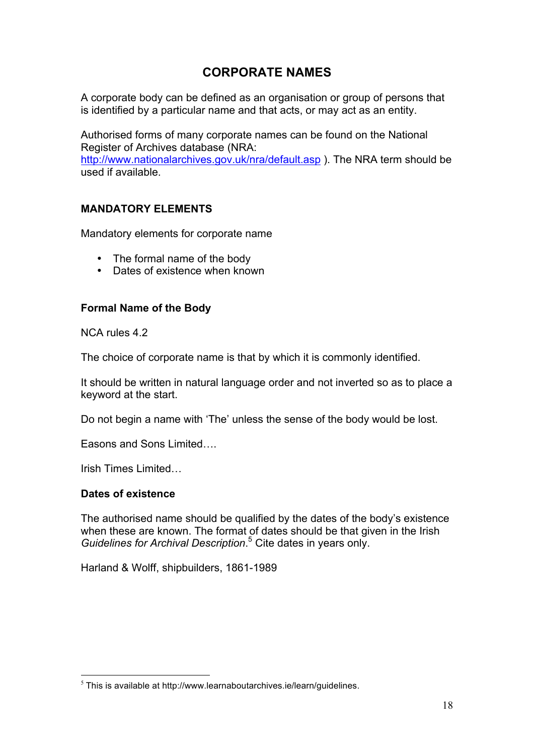# **CORPORATE NAMES**

A corporate body can be defined as an organisation or group of persons that is identified by a particular name and that acts, or may act as an entity.

Authorised forms of many corporate names can be found on the National Register of Archives database (NRA: http://www.nationalarchives.gov.uk/nra/default.asp ). The NRA term should be used if available.

## **MANDATORY ELEMENTS**

Mandatory elements for corporate name

- The formal name of the body
- Dates of existence when known

## **Formal Name of the Body**

NCA rules 4.2

The choice of corporate name is that by which it is commonly identified.

It should be written in natural language order and not inverted so as to place a keyword at the start.

Do not begin a name with 'The' unless the sense of the body would be lost.

Easons and Sons Limited….

Irish Times Limited…

## **Dates of existence**

The authorised name should be qualified by the dates of the body's existence when these are known. The format of dates should be that given in the Irish *Guidelines for Archival Description*. 5 Cite dates in years only.

Harland & Wolff, shipbuilders, 1861-1989

 $5$  This is available at http://www.learnaboutarchives.ie/learn/quidelines.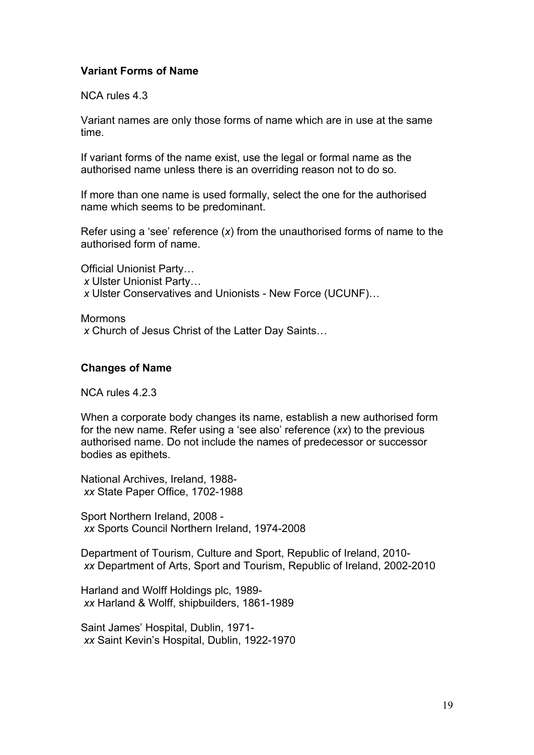## **Variant Forms of Name**

NCA rules 4.3

Variant names are only those forms of name which are in use at the same time.

If variant forms of the name exist, use the legal or formal name as the authorised name unless there is an overriding reason not to do so.

If more than one name is used formally, select the one for the authorised name which seems to be predominant.

Refer using a 'see' reference (*x*) from the unauthorised forms of name to the authorised form of name.

Official Unionist Party…  *x* Ulster Unionist Party… *x* Ulster Conservatives and Unionists - New Force (UCUNF)…

Mormons *x* Church of Jesus Christ of the Latter Day Saints…

#### **Changes of Name**

NCA rules 4.2.3

When a corporate body changes its name, establish a new authorised form for the new name. Refer using a 'see also' reference (*xx*) to the previous authorised name. Do not include the names of predecessor or successor bodies as epithets.

National Archives, Ireland, 1988 *xx* State Paper Office, 1702-1988

Sport Northern Ireland, 2008 *xx* Sports Council Northern Ireland, 1974-2008

Department of Tourism, Culture and Sport, Republic of Ireland, 2010  *xx* Department of Arts, Sport and Tourism, Republic of Ireland, 2002-2010

Harland and Wolff Holdings plc, 1989 *xx* Harland & Wolff, shipbuilders, 1861-1989

Saint James' Hospital, Dublin, 1971  *xx* Saint Kevin's Hospital, Dublin, 1922-1970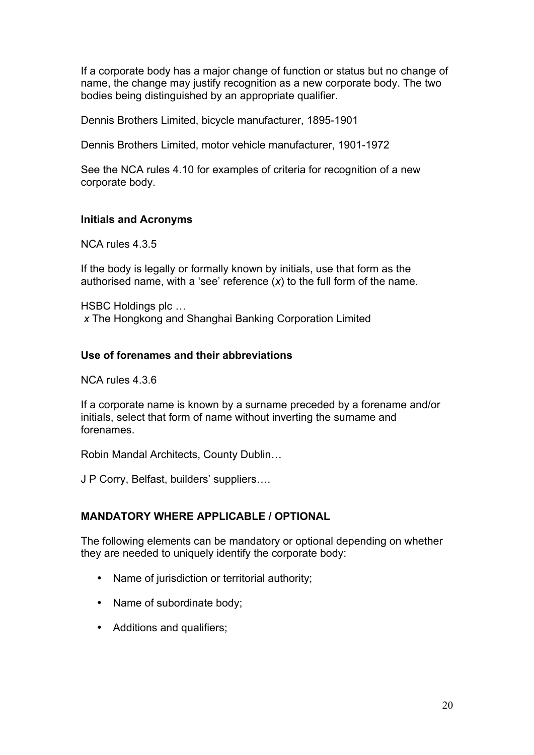If a corporate body has a major change of function or status but no change of name, the change may justify recognition as a new corporate body. The two bodies being distinguished by an appropriate qualifier.

Dennis Brothers Limited, bicycle manufacturer, 1895-1901

Dennis Brothers Limited, motor vehicle manufacturer, 1901-1972

See the NCA rules 4.10 for examples of criteria for recognition of a new corporate body.

## **Initials and Acronyms**

NCA rules 4.3.5

If the body is legally or formally known by initials, use that form as the authorised name, with a 'see' reference (*x*) to the full form of the name.

HSBC Holdings plc … *x* The Hongkong and Shanghai Banking Corporation Limited

## **Use of forenames and their abbreviations**

NCA rules 4.3.6

If a corporate name is known by a surname preceded by a forename and/or initials, select that form of name without inverting the surname and forenames.

Robin Mandal Architects, County Dublin…

J P Corry, Belfast, builders' suppliers….

## **MANDATORY WHERE APPLICABLE / OPTIONAL**

The following elements can be mandatory or optional depending on whether they are needed to uniquely identify the corporate body:

- Name of jurisdiction or territorial authority;
- Name of subordinate body;
- Additions and qualifiers;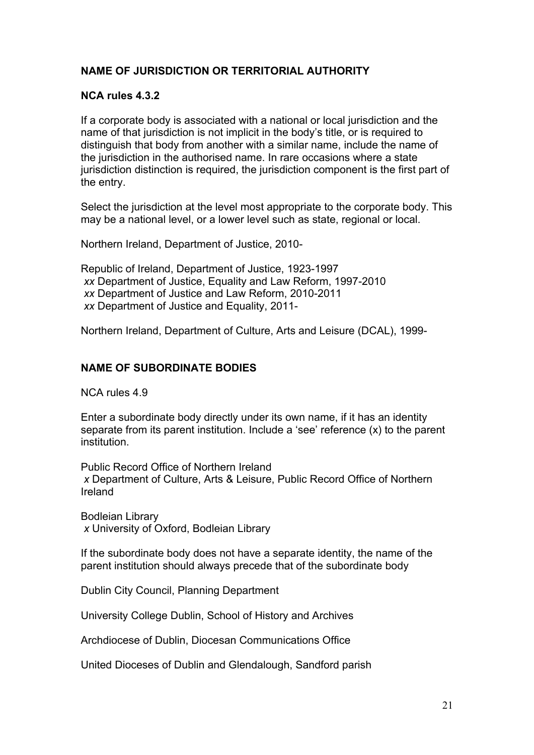## **NAME OF JURISDICTION OR TERRITORIAL AUTHORITY**

## **NCA rules 4.3.2**

If a corporate body is associated with a national or local jurisdiction and the name of that jurisdiction is not implicit in the body's title, or is required to distinguish that body from another with a similar name, include the name of the jurisdiction in the authorised name. In rare occasions where a state jurisdiction distinction is required, the jurisdiction component is the first part of the entry.

Select the jurisdiction at the level most appropriate to the corporate body. This may be a national level, or a lower level such as state, regional or local.

Northern Ireland, Department of Justice, 2010-

Republic of Ireland, Department of Justice, 1923-1997 *xx* Department of Justice, Equality and Law Reform, 1997-2010 *xx* Department of Justice and Law Reform, 2010-2011 *xx* Department of Justice and Equality, 2011-

Northern Ireland, Department of Culture, Arts and Leisure (DCAL), 1999-

## **NAME OF SUBORDINATE BODIES**

NCA rules 4.9

Enter a subordinate body directly under its own name, if it has an identity separate from its parent institution. Include a 'see' reference (x) to the parent institution.

Public Record Office of Northern Ireland  *x* Department of Culture, Arts & Leisure, Public Record Office of Northern Ireland

Bodleian Library  *x* University of Oxford, Bodleian Library

If the subordinate body does not have a separate identity, the name of the parent institution should always precede that of the subordinate body

Dublin City Council, Planning Department

University College Dublin, School of History and Archives

Archdiocese of Dublin, Diocesan Communications Office

United Dioceses of Dublin and Glendalough, Sandford parish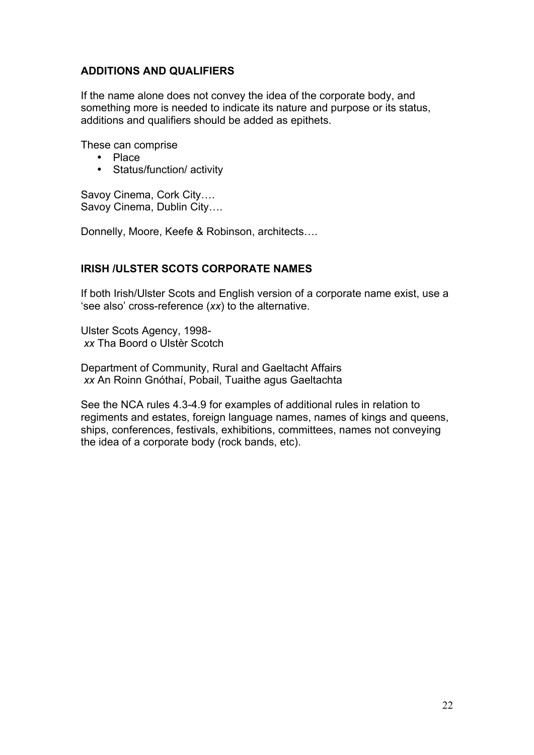## **ADDITIONS AND QUALIFIERS**

If the name alone does not convey the idea of the corporate body, and something more is needed to indicate its nature and purpose or its status, additions and qualifiers should be added as epithets.

These can comprise

- Place
- Status/function/ activity

Savoy Cinema, Cork City…. Savoy Cinema, Dublin City….

Donnelly, Moore, Keefe & Robinson, architects….

## **IRISH /ULSTER SCOTS CORPORATE NAMES**

If both Irish/Ulster Scots and English version of a corporate name exist, use a 'see also' cross-reference (*xx*) to the alternative.

Ulster Scots Agency, 1998  *xx* Tha Boord o Ulstèr Scotch

Department of Community, Rural and Gaeltacht Affairs  *xx* An Roinn Gnóthaí, Pobail, Tuaithe agus Gaeltachta

See the NCA rules 4.3-4.9 for examples of additional rules in relation to regiments and estates, foreign language names, names of kings and queens, ships, conferences, festivals, exhibitions, committees, names not conveying the idea of a corporate body (rock bands, etc).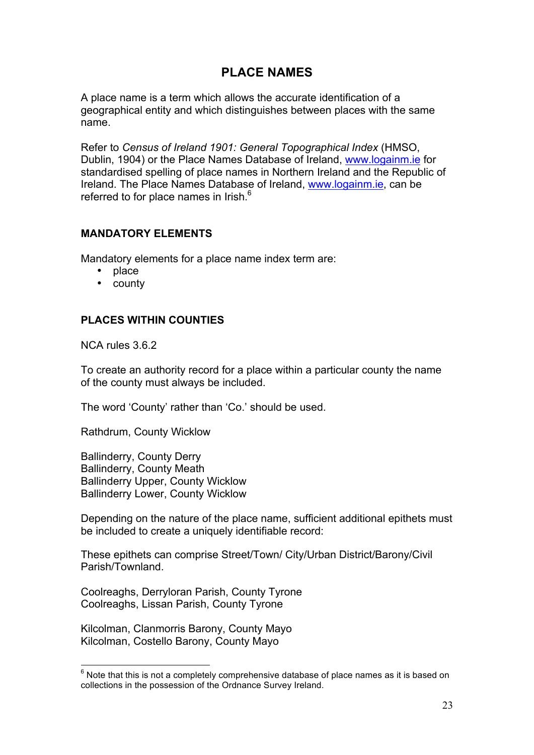# **PLACE NAMES**

A place name is a term which allows the accurate identification of a geographical entity and which distinguishes between places with the same name.

Refer to *Census of Ireland 1901: General Topographical Index* (HMSO, Dublin, 1904) or the Place Names Database of Ireland, www.logainm.ie for standardised spelling of place names in Northern Ireland and the Republic of Ireland. The Place Names Database of Ireland, www.logainm.ie, can be referred to for place names in Irish.<sup>6</sup>

## **MANDATORY ELEMENTS**

Mandatory elements for a place name index term are:

- place
- county

## **PLACES WITHIN COUNTIES**

NCA rules 3.6.2

To create an authority record for a place within a particular county the name of the county must always be included.

The word 'County' rather than 'Co.' should be used.

Rathdrum, County Wicklow

Ballinderry, County Derry Ballinderry, County Meath Ballinderry Upper, County Wicklow Ballinderry Lower, County Wicklow

Depending on the nature of the place name, sufficient additional epithets must be included to create a uniquely identifiable record:

These epithets can comprise Street/Town/ City/Urban District/Barony/Civil Parish/Townland.

Coolreaghs, Derryloran Parish, County Tyrone Coolreaghs, Lissan Parish, County Tyrone

Kilcolman, Clanmorris Barony, County Mayo Kilcolman, Costello Barony, County Mayo

6 Note that this is not a completely comprehensive database of place names as it is based on collections in the possession of the Ordnance Survey Ireland.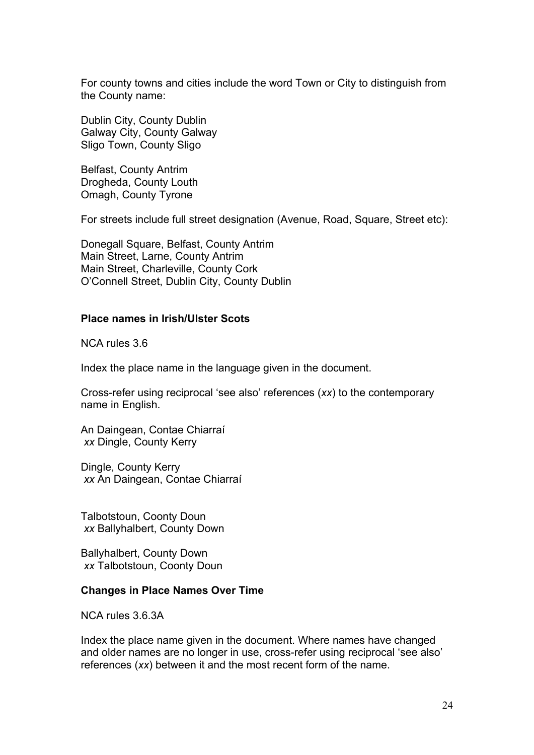For county towns and cities include the word Town or City to distinguish from the County name:

Dublin City, County Dublin Galway City, County Galway Sligo Town, County Sligo

Belfast, County Antrim Drogheda, County Louth Omagh, County Tyrone

For streets include full street designation (Avenue, Road, Square, Street etc):

Donegall Square, Belfast, County Antrim Main Street, Larne, County Antrim Main Street, Charleville, County Cork O'Connell Street, Dublin City, County Dublin

#### **Place names in Irish/Ulster Scots**

NCA rules 3.6

Index the place name in the language given in the document.

Cross-refer using reciprocal 'see also' references (*xx*) to the contemporary name in English.

An Daingean, Contae Chiarraí *xx* Dingle, County Kerry

Dingle, County Kerry *xx* An Daingean, Contae Chiarraí

Talbotstoun, Coonty Doun  *xx* Ballyhalbert, County Down

Ballyhalbert, County Down  *xx* Talbotstoun, Coonty Doun

#### **Changes in Place Names Over Time**

NCA rules 3.6.3A

Index the place name given in the document. Where names have changed and older names are no longer in use, cross-refer using reciprocal 'see also' references (*xx*) between it and the most recent form of the name.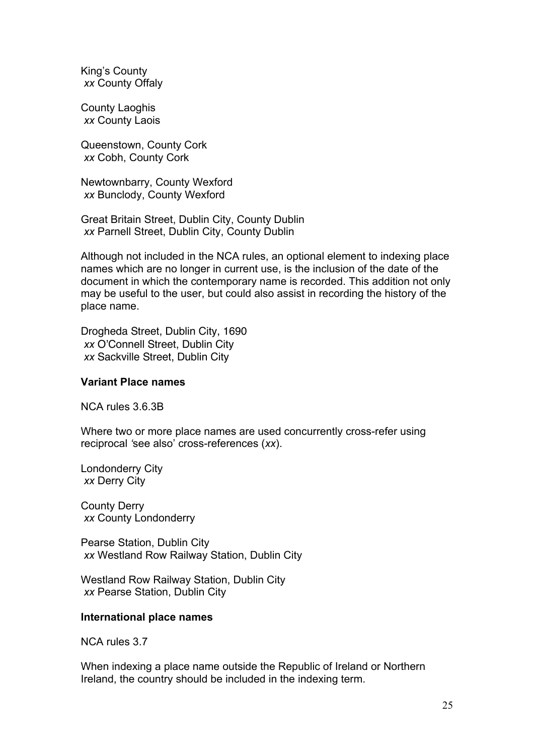King's County  *xx* County Offaly

County Laoghis  *xx* County Laois

Queenstown, County Cork  *xx* Cobh, County Cork

Newtownbarry, County Wexford  *xx* Bunclody, County Wexford

Great Britain Street, Dublin City, County Dublin  *xx* Parnell Street, Dublin City, County Dublin

Although not included in the NCA rules, an optional element to indexing place names which are no longer in current use, is the inclusion of the date of the document in which the contemporary name is recorded. This addition not only may be useful to the user, but could also assist in recording the history of the place name.

Drogheda Street, Dublin City, 1690 *xx* O'Connell Street, Dublin City *xx* Sackville Street, Dublin City

#### **Variant Place names**

NCA rules 3.6.3B

Where two or more place names are used concurrently cross-refer using reciprocal *'*see also' cross-references (*xx*).

Londonderry City  *xx* Derry City

County Derry  *xx* County Londonderry

Pearse Station, Dublin City *xx* Westland Row Railway Station, Dublin City

Westland Row Railway Station, Dublin City *xx* Pearse Station, Dublin City

#### **International place names**

NCA rules 3.7

When indexing a place name outside the Republic of Ireland or Northern Ireland, the country should be included in the indexing term.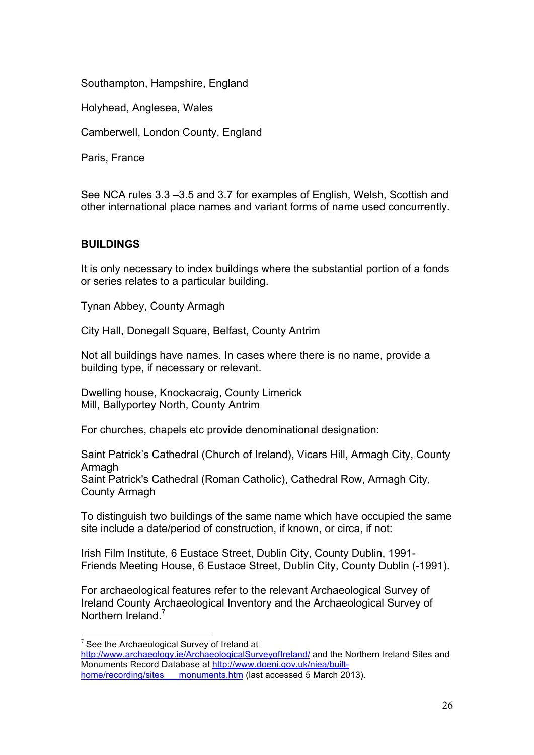## Southampton, Hampshire, England

Holyhead, Anglesea, Wales

Camberwell, London County, England

Paris, France

See NCA rules 3.3 –3.5 and 3.7 for examples of English, Welsh, Scottish and other international place names and variant forms of name used concurrently.

## **BUILDINGS**

It is only necessary to index buildings where the substantial portion of a fonds or series relates to a particular building.

Tynan Abbey, County Armagh

City Hall, Donegall Square, Belfast, County Antrim

Not all buildings have names. In cases where there is no name, provide a building type, if necessary or relevant.

Dwelling house, Knockacraig, County Limerick Mill, Ballyportey North, County Antrim

For churches, chapels etc provide denominational designation:

Saint Patrick's Cathedral (Church of Ireland), Vicars Hill, Armagh City, County Armagh Saint Patrick's Cathedral (Roman Catholic), Cathedral Row, Armagh City, County Armagh

To distinguish two buildings of the same name which have occupied the same site include a date/period of construction, if known, or circa, if not:

Irish Film Institute, 6 Eustace Street, Dublin City, County Dublin, 1991- Friends Meeting House, 6 Eustace Street, Dublin City, County Dublin (-1991).

For archaeological features refer to the relevant Archaeological Survey of Ireland County Archaeological Inventory and the Archaeological Survey of Northern Ireland<sup>7</sup>

 $7$  See the Archaeological Survey of Ireland at

http://www.archaeology.ie/ArchaeologicalSurveyofIreland/ and the Northern Ireland Sites and Monuments Record Database at http://www.doeni.gov.uk/niea/builthome/recording/sites monuments.htm (last accessed 5 March 2013).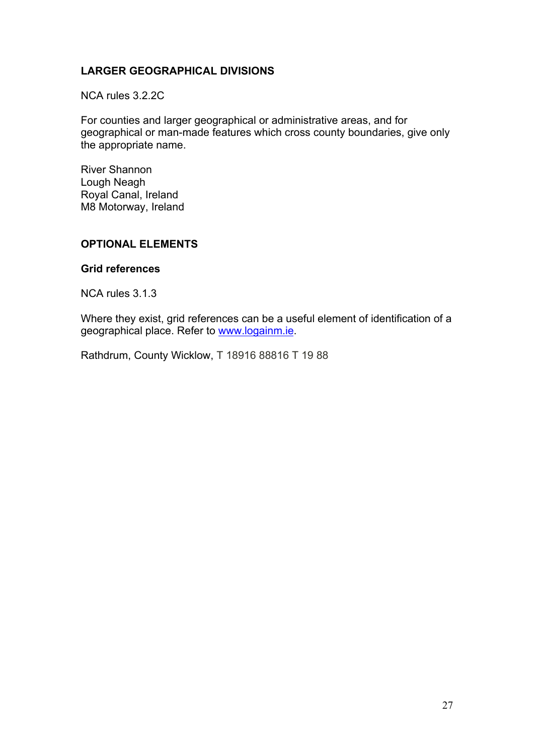## **LARGER GEOGRAPHICAL DIVISIONS**

NCA rules 3.2.2C

For counties and larger geographical or administrative areas, and for geographical or man-made features which cross county boundaries, give only the appropriate name.

River Shannon Lough Neagh Royal Canal, Ireland M8 Motorway, Ireland

## **OPTIONAL ELEMENTS**

#### **Grid references**

NCA rules 3.1.3

Where they exist, grid references can be a useful element of identification of a geographical place. Refer to www.logainm.ie.

Rathdrum, County Wicklow, T 18916 88816 T 19 88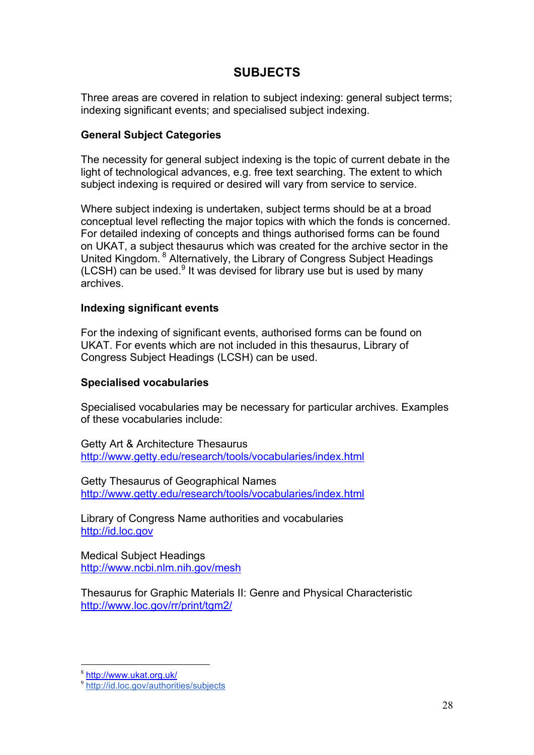# **SUBJECTS**

Three areas are covered in relation to subject indexing: general subject terms; indexing significant events; and specialised subject indexing.

## **General Subject Categories**

The necessity for general subject indexing is the topic of current debate in the light of technological advances, e.g. free text searching. The extent to which subject indexing is required or desired will vary from service to service.

Where subject indexing is undertaken, subject terms should be at a broad conceptual level reflecting the major topics with which the fonds is concerned. For detailed indexing of concepts and things authorised forms can be found on UKAT, a subject thesaurus which was created for the archive sector in the United Kingdom. <sup>8</sup> Alternatively, the Library of Congress Subject Headings (LCSH) can be used.<sup>9</sup> It was devised for library use but is used by many archives.

## **Indexing significant events**

For the indexing of significant events, authorised forms can be found on UKAT. For events which are not included in this thesaurus, Library of Congress Subject Headings (LCSH) can be used.

## **Specialised vocabularies**

Specialised vocabularies may be necessary for particular archives. Examples of these vocabularies include:

Getty Art & Architecture Thesaurus http://www.getty.edu/research/tools/vocabularies/index.html

Getty Thesaurus of Geographical Names http://www.getty.edu/research/tools/vocabularies/index.html

Library of Congress Name authorities and vocabularies http://id.loc.gov

Medical Subject Headings http://www.ncbi.nlm.nih.gov/mesh

Thesaurus for Graphic Materials II: Genre and Physical Characteristic http://www.loc.gov/rr/print/tgm2/

 <sup>8</sup> http://www.ukat.org.uk/

<sup>9</sup> http://id.loc.gov/authorities/subjects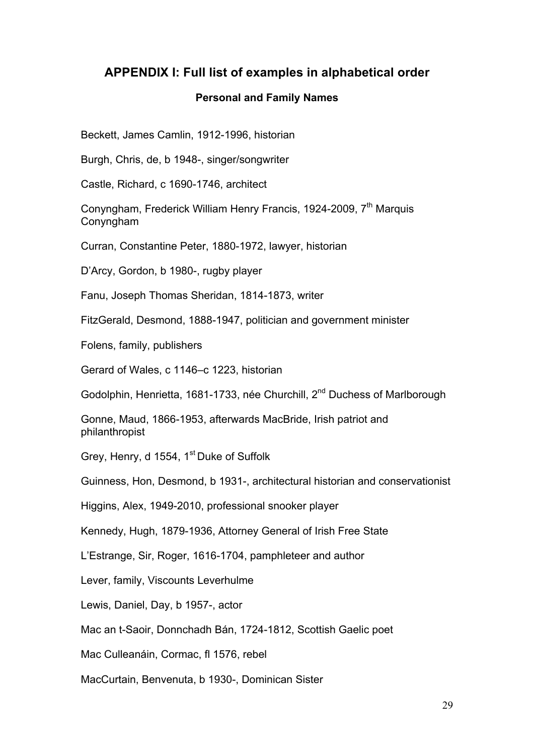## **APPENDIX I: Full list of examples in alphabetical order**

#### **Personal and Family Names**

Beckett, James Camlin, 1912-1996, historian

Burgh, Chris, de, b 1948-, singer/songwriter

Castle, Richard, c 1690-1746, architect

Conyngham, Frederick William Henry Francis, 1924-2009, 7<sup>th</sup> Marquis Conyngham

Curran, Constantine Peter, 1880-1972, lawyer, historian

D'Arcy, Gordon, b 1980-, rugby player

Fanu, Joseph Thomas Sheridan, 1814-1873, writer

FitzGerald, Desmond, 1888-1947, politician and government minister

Folens, family, publishers

Gerard of Wales, c 1146–c 1223, historian

Godolphin, Henrietta, 1681-1733, née Churchill, 2<sup>nd</sup> Duchess of Marlborough

Gonne, Maud, 1866-1953, afterwards MacBride, Irish patriot and philanthropist

Grey, Henry, d 1554, 1<sup>st</sup> Duke of Suffolk

Guinness, Hon, Desmond, b 1931-, architectural historian and conservationist

Higgins, Alex, 1949-2010, professional snooker player

Kennedy, Hugh, 1879-1936, Attorney General of Irish Free State

L'Estrange, Sir, Roger, 1616-1704, pamphleteer and author

Lever, family, Viscounts Leverhulme

Lewis, Daniel, Day, b 1957-, actor

Mac an t-Saoir, Donnchadh Bán, 1724-1812, Scottish Gaelic poet

Mac Culleanáin, Cormac, fl 1576, rebel

MacCurtain, Benvenuta, b 1930-, Dominican Sister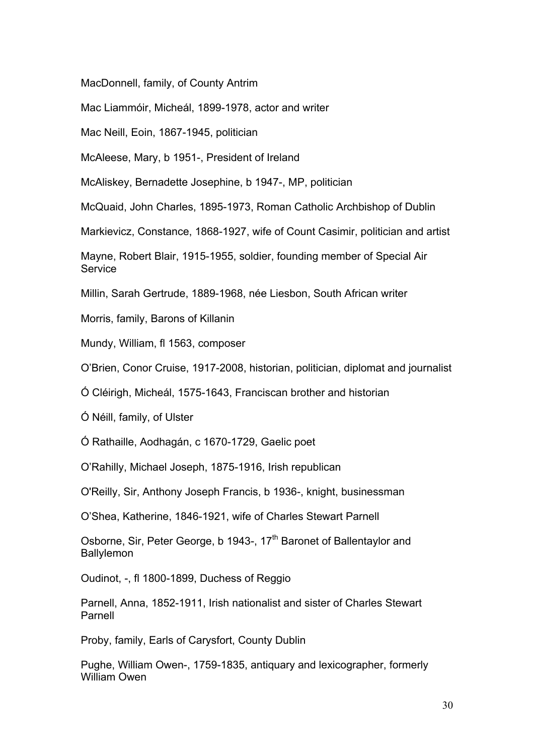MacDonnell, family, of County Antrim

Mac Liammóir, Micheál, 1899-1978, actor and writer

Mac Neill, Eoin, 1867-1945, politician

McAleese, Mary, b 1951-, President of Ireland

McAliskey, Bernadette Josephine, b 1947-, MP, politician

McQuaid, John Charles, 1895-1973, Roman Catholic Archbishop of Dublin

Markievicz, Constance, 1868-1927, wife of Count Casimir, politician and artist

Mayne, Robert Blair, 1915-1955, soldier, founding member of Special Air **Service** 

Millin, Sarah Gertrude, 1889-1968, née Liesbon, South African writer

Morris, family, Barons of Killanin

Mundy, William, fl 1563, composer

O'Brien, Conor Cruise, 1917-2008, historian, politician, diplomat and journalist

Ó Cléirigh, Micheál, 1575-1643, Franciscan brother and historian

Ó Néill, family, of Ulster

Ó Rathaille, Aodhagán, c 1670-1729, Gaelic poet

O'Rahilly, Michael Joseph, 1875-1916, Irish republican

O'Reilly, Sir, Anthony Joseph Francis, b 1936-, knight, businessman

O'Shea, Katherine, 1846-1921, wife of Charles Stewart Parnell

Osborne, Sir, Peter George, b 1943-, 17<sup>th</sup> Baronet of Ballentaylor and Ballylemon

Oudinot, -, fl 1800-1899, Duchess of Reggio

Parnell, Anna, 1852-1911, Irish nationalist and sister of Charles Stewart Parnell

Proby, family, Earls of Carysfort, County Dublin

Pughe, William Owen-, 1759-1835, antiquary and lexicographer, formerly William Owen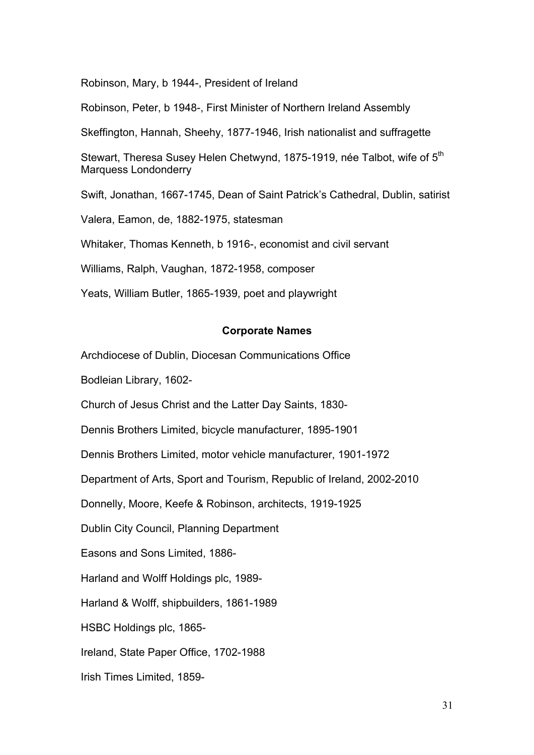Robinson, Mary, b 1944-, President of Ireland

Robinson, Peter, b 1948-, First Minister of Northern Ireland Assembly

Skeffington, Hannah, Sheehy, 1877-1946, Irish nationalist and suffragette

Stewart, Theresa Susey Helen Chetwynd, 1875-1919, née Talbot, wife of 5<sup>th</sup> Marquess Londonderry

Swift, Jonathan, 1667-1745, Dean of Saint Patrick's Cathedral, Dublin, satirist

Valera, Eamon, de, 1882-1975, statesman

Whitaker, Thomas Kenneth, b 1916-, economist and civil servant

Williams, Ralph, Vaughan, 1872-1958, composer

Yeats, William Butler, 1865-1939, poet and playwright

#### **Corporate Names**

Archdiocese of Dublin, Diocesan Communications Office

Bodleian Library, 1602-

Church of Jesus Christ and the Latter Day Saints, 1830-

Dennis Brothers Limited, bicycle manufacturer, 1895-1901

Dennis Brothers Limited, motor vehicle manufacturer, 1901-1972

Department of Arts, Sport and Tourism, Republic of Ireland, 2002-2010

Donnelly, Moore, Keefe & Robinson, architects, 1919-1925

Dublin City Council, Planning Department

Easons and Sons Limited, 1886-

Harland and Wolff Holdings plc, 1989-

Harland & Wolff, shipbuilders, 1861-1989

HSBC Holdings plc, 1865-

Ireland, State Paper Office, 1702-1988

Irish Times Limited, 1859-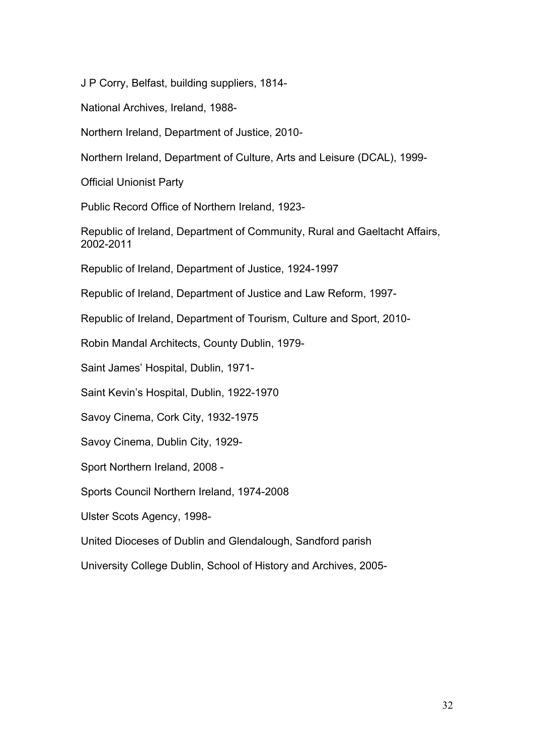J P Corry, Belfast, building suppliers, 1814-

National Archives, Ireland, 1988-

Northern Ireland, Department of Justice, 2010-

Northern Ireland, Department of Culture, Arts and Leisure (DCAL), 1999-

Official Unionist Party

Public Record Office of Northern Ireland, 1923-

Republic of Ireland, Department of Community, Rural and Gaeltacht Affairs, 2002-2011

Republic of Ireland, Department of Justice, 1924-1997

Republic of Ireland, Department of Justice and Law Reform, 1997-

Republic of Ireland, Department of Tourism, Culture and Sport, 2010-

Robin Mandal Architects, County Dublin, 1979-

Saint James' Hospital, Dublin, 1971-

Saint Kevin's Hospital, Dublin, 1922-1970

Savoy Cinema, Cork City, 1932-1975

Savoy Cinema, Dublin City, 1929-

Sport Northern Ireland, 2008 -

Sports Council Northern Ireland, 1974-2008

Ulster Scots Agency, 1998-

United Dioceses of Dublin and Glendalough, Sandford parish

University College Dublin, School of History and Archives, 2005-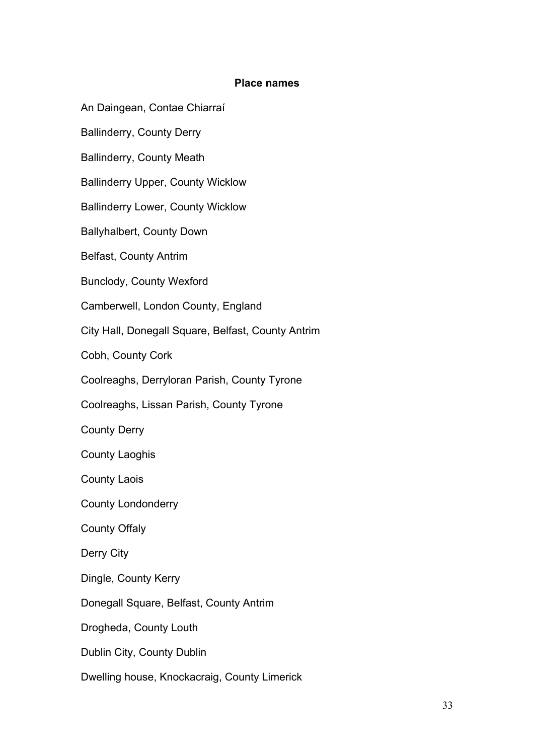#### **Place names**

An Daingean, Contae Chiarraí

Ballinderry, County Derry

Ballinderry, County Meath

Ballinderry Upper, County Wicklow

Ballinderry Lower, County Wicklow

Ballyhalbert, County Down

Belfast, County Antrim

Bunclody, County Wexford

Camberwell, London County, England

City Hall, Donegall Square, Belfast, County Antrim

Cobh, County Cork

Coolreaghs, Derryloran Parish, County Tyrone

Coolreaghs, Lissan Parish, County Tyrone

County Derry

County Laoghis

County Laois

County Londonderry

County Offaly

Derry City

Dingle, County Kerry

Donegall Square, Belfast, County Antrim

Drogheda, County Louth

Dublin City, County Dublin

Dwelling house, Knockacraig, County Limerick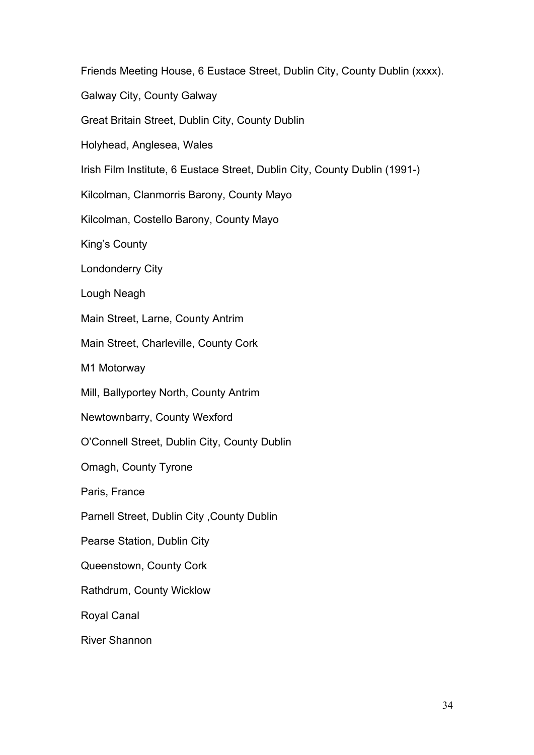Friends Meeting House, 6 Eustace Street, Dublin City, County Dublin (xxxx). Galway City, County Galway Great Britain Street, Dublin City, County Dublin Holyhead, Anglesea, Wales Irish Film Institute, 6 Eustace Street, Dublin City, County Dublin (1991-) Kilcolman, Clanmorris Barony, County Mayo Kilcolman, Costello Barony, County Mayo King's County Londonderry City Lough Neagh Main Street, Larne, County Antrim Main Street, Charleville, County Cork M1 Motorway Mill, Ballyportey North, County Antrim Newtownbarry, County Wexford O'Connell Street, Dublin City, County Dublin Omagh, County Tyrone Paris, France Parnell Street, Dublin City ,County Dublin Pearse Station, Dublin City Queenstown, County Cork Rathdrum, County Wicklow Royal Canal River Shannon